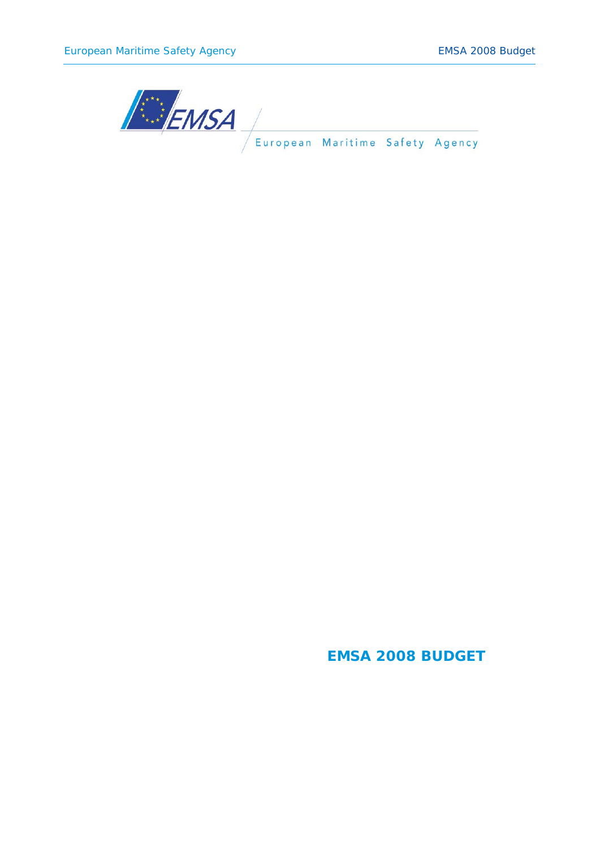

## **EMSA 2008 BUDGET**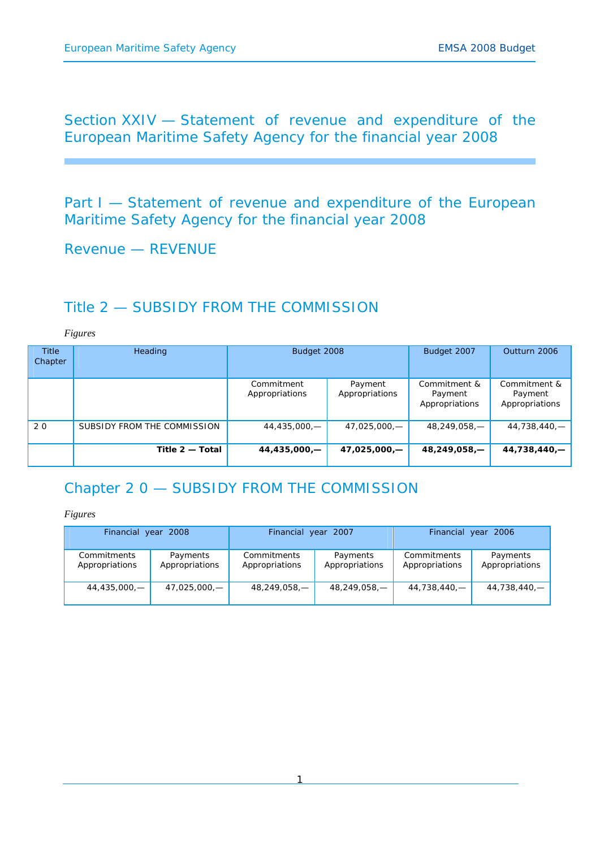Section XXIV — Statement of revenue and expenditure of the European Maritime Safety Agency for the financial year 2008

Part I – Statement of revenue and expenditure of the European Maritime Safety Agency for the financial year 2008

Revenue — REVENUE

## Title 2 — SUBSIDY FROM THE COMMISSION

*Figures* 

| <b>Title</b><br>Chapter | Heading                     | Budget 2008                  |                           | Budget 2007                               | Outturn 2006                              |
|-------------------------|-----------------------------|------------------------------|---------------------------|-------------------------------------------|-------------------------------------------|
|                         |                             | Commitment<br>Appropriations | Payment<br>Appropriations | Commitment &<br>Payment<br>Appropriations | Commitment &<br>Payment<br>Appropriations |
| 20                      | SUBSIDY FROM THE COMMISSION | $44,435,000,$ -              | 47,025,000,-              | 48,249,058,-                              | 44,738,440,-                              |
|                         | Title 2 - Total             | 44,435,000,-                 | 47,025,000,-              | $48,249,058, -$                           | 44,738,440,-                              |

# Chapter 2 0 — SUBSIDY FROM THE COMMISSION

| Financial year 2008           |                            | Financial year 2007           |                            | Financial year 2006           |                            |  |
|-------------------------------|----------------------------|-------------------------------|----------------------------|-------------------------------|----------------------------|--|
| Commitments<br>Appropriations | Payments<br>Appropriations | Commitments<br>Appropriations | Payments<br>Appropriations | Commitments<br>Appropriations | Payments<br>Appropriations |  |
| 44,435,000,—                  | 47,025,000,—               | 48,249,058,—                  | 48,249,058,—               | 44,738,440,—                  | 44,738,440,—               |  |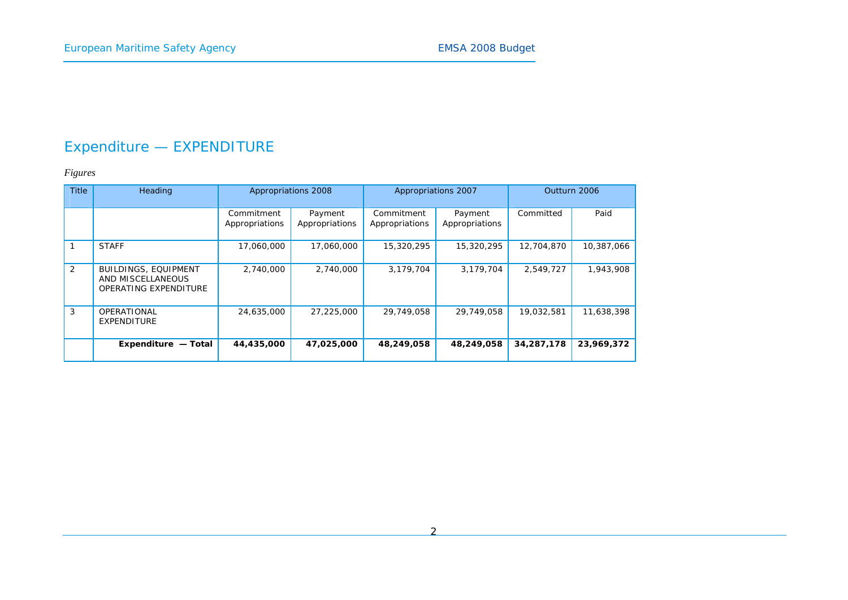# Expenditure — EXPENDITURE

| <b>Title</b> | Heading                                                                   |                              | Appropriations 2008       | Appropriations 2007          |                           | Outturn 2006 |            |
|--------------|---------------------------------------------------------------------------|------------------------------|---------------------------|------------------------------|---------------------------|--------------|------------|
|              |                                                                           | Commitment<br>Appropriations | Payment<br>Appropriations | Commitment<br>Appropriations | Payment<br>Appropriations | Committed    | Paid       |
|              | <b>STAFF</b>                                                              | 17,060,000                   | 17,060,000                | 15,320,295                   | 15,320,295                | 12,704,870   | 10,387,066 |
| 2            | <b>BUILDINGS, EQUIPMENT</b><br>AND MISCELLANEOUS<br>OPERATING EXPENDITURE | 2,740,000                    | 2,740,000                 | 3,179,704                    | 3.179.704                 | 2.549.727    | 1,943,908  |
| 3            | OPERATIONAL<br><b>EXPENDITURE</b>                                         | 24,635,000                   | 27,225,000                | 29,749,058                   | 29,749,058                | 19,032,581   | 11,638,398 |
|              | Expenditure - Total                                                       | 44,435,000                   | 47,025,000                | 48,249,058                   | 48,249,058                | 34,287,178   | 23,969,372 |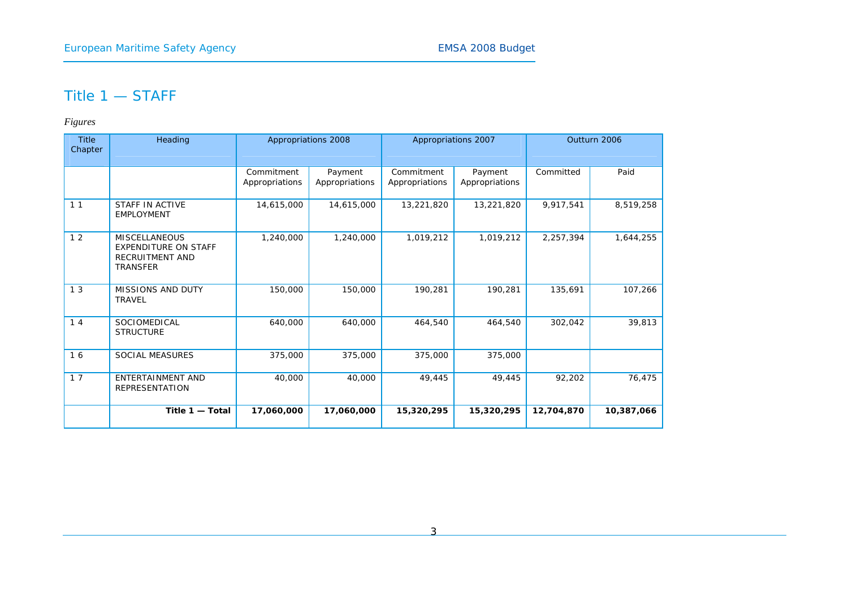## Title 1 — STAFF

| <b>Title</b><br>Chapter | Heading                                                                                   |                              | Appropriations 2008       | Appropriations 2007          |                           |            | Outturn 2006 |  |
|-------------------------|-------------------------------------------------------------------------------------------|------------------------------|---------------------------|------------------------------|---------------------------|------------|--------------|--|
|                         |                                                                                           | Commitment<br>Appropriations | Payment<br>Appropriations | Commitment<br>Appropriations | Payment<br>Appropriations | Committed  | Paid         |  |
| 11                      | STAFF IN ACTIVE<br><b>EMPLOYMENT</b>                                                      | 14,615,000                   | 14,615,000                | 13,221,820                   | 13,221,820                | 9,917,541  | 8,519,258    |  |
| 12                      | <b>MISCELLANEOUS</b><br><b>EXPENDITURE ON STAFF</b><br>RECRUITMENT AND<br><b>TRANSFER</b> | 1,240,000                    | 1,240,000                 | 1,019,212                    | 1,019,212                 | 2,257,394  | 1,644,255    |  |
| 13                      | <b>MISSIONS AND DUTY</b><br><b>TRAVEL</b>                                                 | 150,000                      | 150,000                   | 190,281                      | 190,281                   | 135,691    | 107,266      |  |
| 14                      | SOCIOMEDICAL<br><b>STRUCTURE</b>                                                          | 640,000                      | 640,000                   | 464,540                      | 464,540                   | 302,042    | 39,813       |  |
| 16                      | <b>SOCIAL MEASURES</b>                                                                    | 375,000                      | 375,000                   | 375,000                      | 375,000                   |            |              |  |
| 17                      | <b>ENTERTAINMENT AND</b><br><b>REPRESENTATION</b>                                         | 40,000                       | 40,000                    | 49,445                       | 49,445                    | 92,202     | 76,475       |  |
|                         | Title $1 -$ Total                                                                         | 17,060,000                   | 17,060,000                | 15,320,295                   | 15,320,295                | 12,704,870 | 10,387,066   |  |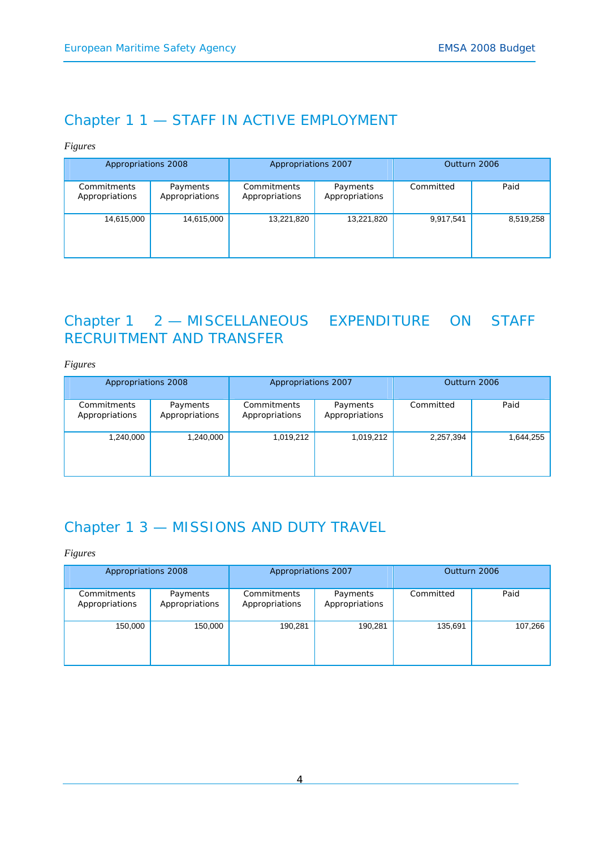## Chapter 1 1 — STAFF IN ACTIVE EMPLOYMENT

### *Figures*

| Appropriations 2008           |                            | Appropriations 2007           |                            | Outturn 2006 |           |
|-------------------------------|----------------------------|-------------------------------|----------------------------|--------------|-----------|
| Commitments<br>Appropriations | Payments<br>Appropriations | Commitments<br>Appropriations | Payments<br>Appropriations | Committed    | Paid      |
| 14,615,000                    | 14,615,000                 | 13,221,820                    | 13,221,820                 | 9,917,541    | 8,519,258 |

## Chapter 1 2 — MISCELLANEOUS EXPENDITURE ON STAFF RECRUITMENT AND TRANSFER

*Figures* 

| Appropriations 2008           |                            | Appropriations 2007           |                            | Outturn 2006 |           |
|-------------------------------|----------------------------|-------------------------------|----------------------------|--------------|-----------|
| Commitments<br>Appropriations | Payments<br>Appropriations | Commitments<br>Appropriations | Payments<br>Appropriations | Committed    | Paid      |
| 1,240,000                     | 1,240,000                  | 1,019,212                     | 1,019,212                  | 2,257,394    | 1,644,255 |

## Chapter 1 3 — MISSIONS AND DUTY TRAVEL

| Appropriations 2008           |                            | Appropriations 2007           |                            | Outturn 2006 |         |
|-------------------------------|----------------------------|-------------------------------|----------------------------|--------------|---------|
| Commitments<br>Appropriations | Payments<br>Appropriations | Commitments<br>Appropriations | Payments<br>Appropriations | Committed    | Paid    |
| 150,000                       | 150,000<br>190,281         |                               | 190,281                    | 135,691      | 107,266 |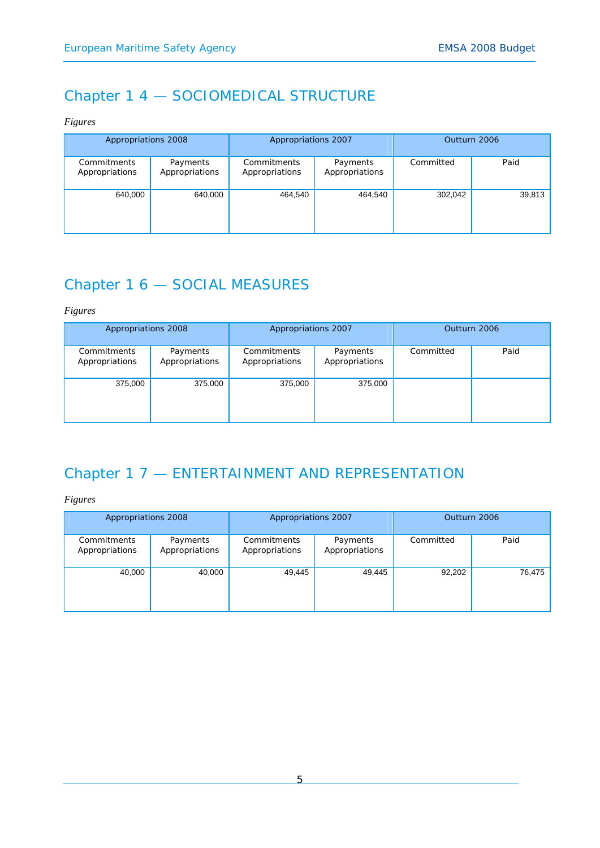# Chapter 1 4 — SOCIOMEDICAL STRUCTURE

*Figures* 

| Appropriations 2008           |                            | Appropriations 2007           |                            | Outturn 2006 |        |
|-------------------------------|----------------------------|-------------------------------|----------------------------|--------------|--------|
| Commitments<br>Appropriations | Payments<br>Appropriations | Commitments<br>Appropriations | Payments<br>Appropriations | Committed    | Paid   |
| 640,000                       | 640,000                    | 464,540                       | 464,540                    | 302,042      | 39,813 |

# Chapter 1 6 — SOCIAL MEASURES

*Figures* 

| Appropriations 2008           |                            | Appropriations 2007           |                            | Outturn 2006 |      |
|-------------------------------|----------------------------|-------------------------------|----------------------------|--------------|------|
| Commitments<br>Appropriations | Payments<br>Appropriations | Commitments<br>Appropriations | Payments<br>Appropriations | Committed    | Paid |
| 375,000<br>375,000            |                            | 375,000                       | 375,000                    |              |      |

# Chapter 1 7 — ENTERTAINMENT AND REPRESENTATION

| Appropriations 2008           |                            | Appropriations 2007                                         |        | Outturn 2006 |        |
|-------------------------------|----------------------------|-------------------------------------------------------------|--------|--------------|--------|
| Commitments<br>Appropriations | Payments<br>Appropriations | Commitments<br>Payments<br>Appropriations<br>Appropriations |        | Committed    | Paid   |
| 40,000                        | 40,000                     | 49,445                                                      | 49,445 | 92,202       | 76,475 |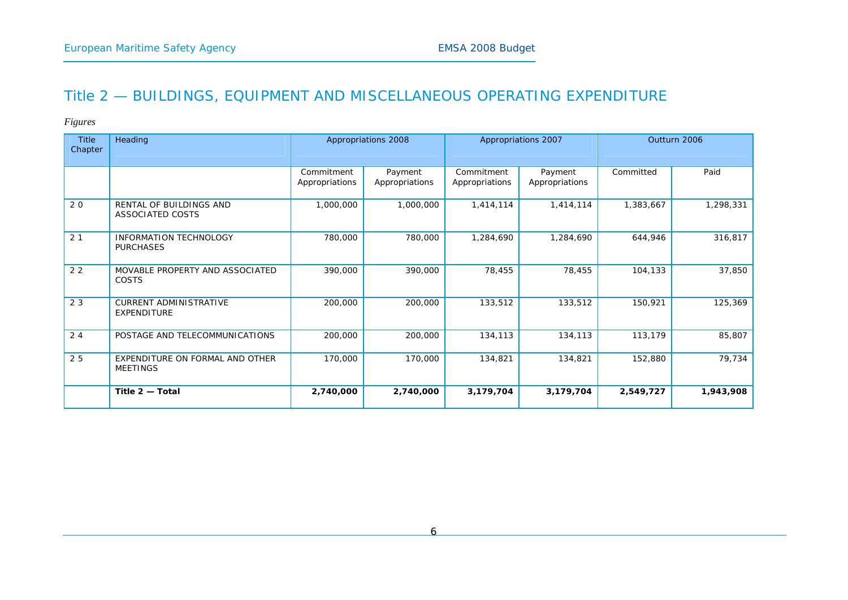## Title 2 — BUILDINGS, EQUIPMENT AND MISCELLANEOUS OPERATING EXPENDITURE

| <b>Title</b><br><b>Chapter</b> | Heading                                            |                              | Appropriations 2008       | Appropriations 2007          |                           | Outturn 2006 |           |
|--------------------------------|----------------------------------------------------|------------------------------|---------------------------|------------------------------|---------------------------|--------------|-----------|
|                                |                                                    | Commitment<br>Appropriations | Payment<br>Appropriations | Commitment<br>Appropriations | Payment<br>Appropriations | Committed    | Paid      |
| 20                             | RENTAL OF BUILDINGS AND<br>ASSOCIATED COSTS        | 1,000,000                    | 1,000,000                 | 1,414,114                    | 1,414,114                 | 1,383,667    | 1,298,331 |
| 2 <sub>1</sub>                 | <b>INFORMATION TECHNOLOGY</b><br><b>PURCHASES</b>  | 780,000                      | 780,000                   | 1,284,690                    | 1,284,690                 | 644,946      | 316,817   |
| 22                             | MOVABLE PROPERTY AND ASSOCIATED<br><b>COSTS</b>    | 390,000                      | 390,000                   | 78,455                       | 78,455                    | 104,133      | 37,850    |
| 23                             | <b>CURRENT ADMINISTRATIVE</b><br>EXPENDITURE       | 200,000                      | 200,000                   | 133,512                      | 133,512                   | 150,921      | 125,369   |
| 24                             | POSTAGE AND TELECOMMUNICATIONS                     | 200,000                      | 200,000                   | 134,113                      | 134,113                   | 113,179      | 85,807    |
| 25                             | EXPENDITURE ON FORMAL AND OTHER<br><b>MEETINGS</b> | 170,000                      | 170,000                   | 134,821                      | 134,821                   | 152,880      | 79,734    |
|                                | Title 2 - Total                                    | 2,740,000                    | 2,740,000                 | 3,179,704                    | 3,179,704                 | 2,549,727    | 1,943,908 |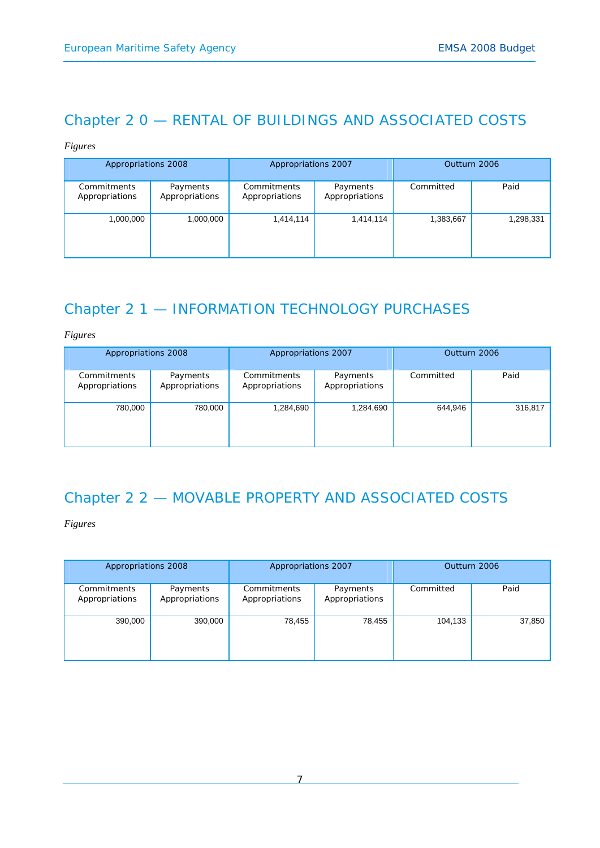# Chapter 2 0 — RENTAL OF BUILDINGS AND ASSOCIATED COSTS

### *Figures*

| Appropriations 2008           |                            | Appropriations 2007           |                            | Outturn 2006 |           |
|-------------------------------|----------------------------|-------------------------------|----------------------------|--------------|-----------|
| Commitments<br>Appropriations | Payments<br>Appropriations | Commitments<br>Appropriations | Payments<br>Appropriations | Committed    | Paid      |
| 1,000,000                     | 1,000,000                  | 1,414,114                     | 1,414,114                  | 1,383,667    | 1,298,331 |

# Chapter 2 1 — INFORMATION TECHNOLOGY PURCHASES

*Figures* 

| Appropriations 2008           |                            | Appropriations 2007           |                            | Outturn 2006 |         |
|-------------------------------|----------------------------|-------------------------------|----------------------------|--------------|---------|
| Commitments<br>Appropriations | Payments<br>Appropriations | Commitments<br>Appropriations | Payments<br>Appropriations | Committed    | Paid    |
| 780,000                       | 780,000                    | 1,284,690                     | 1,284,690                  | 644,946      | 316,817 |

# Chapter 2 2 — MOVABLE PROPERTY AND ASSOCIATED COSTS

| Appropriations 2008           |                            | Appropriations 2007           |                            | Outturn 2006 |        |
|-------------------------------|----------------------------|-------------------------------|----------------------------|--------------|--------|
| Commitments<br>Appropriations | Payments<br>Appropriations | Commitments<br>Appropriations | Payments<br>Appropriations | Committed    | Paid   |
| 390,000                       | 390,000                    | 78,455                        | 78,455                     | 104,133      | 37,850 |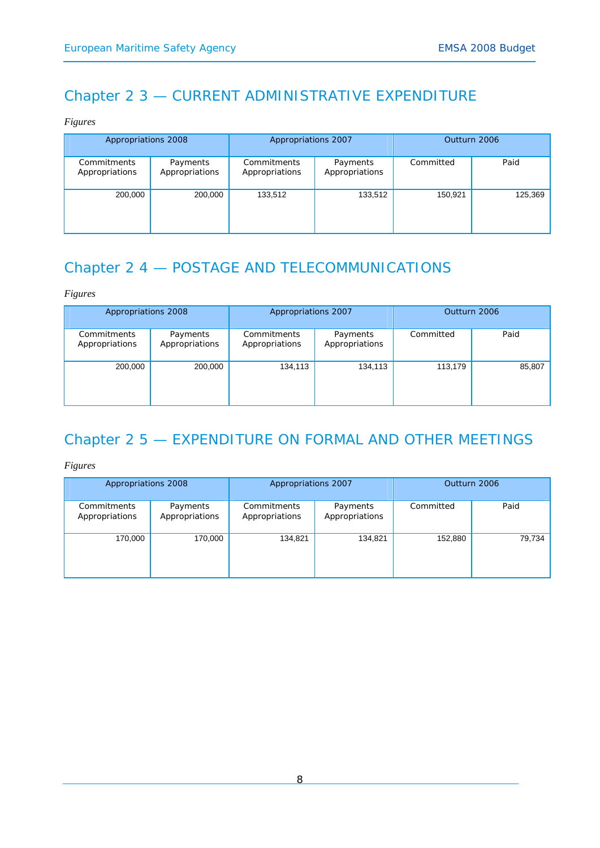# Chapter 2 3 — CURRENT ADMINISTRATIVE EXPENDITURE

*Figures* 

| Appropriations 2008           |                            | Appropriations 2007           |                            | Outturn 2006 |         |
|-------------------------------|----------------------------|-------------------------------|----------------------------|--------------|---------|
| Commitments<br>Appropriations | Payments<br>Appropriations | Commitments<br>Appropriations | Payments<br>Appropriations | Committed    | Paid    |
| 200,000                       | 200,000                    | 133,512                       | 133,512                    | 150,921      | 125,369 |

# Chapter 2 4 — POSTAGE AND TELECOMMUNICATIONS

*Figures* 

| Appropriations 2008           |                            | Appropriations 2007           |                            | Outturn 2006 |        |
|-------------------------------|----------------------------|-------------------------------|----------------------------|--------------|--------|
| Commitments<br>Appropriations | Payments<br>Appropriations | Commitments<br>Appropriations | Payments<br>Appropriations | Committed    | Paid   |
| 200,000                       | 200,000                    | 134,113                       | 134,113                    | 113,179      | 85,807 |

# Chapter 2 5 — EXPENDITURE ON FORMAL AND OTHER MEETINGS

| Appropriations 2008           |                            | Appropriations 2007           |                            | Outturn 2006 |        |
|-------------------------------|----------------------------|-------------------------------|----------------------------|--------------|--------|
| Commitments<br>Appropriations | Payments<br>Appropriations | Commitments<br>Appropriations | Payments<br>Appropriations | Committed    | Paid   |
| 170,000                       | 170,000                    | 134,821                       | 134,821                    | 152,880      | 79,734 |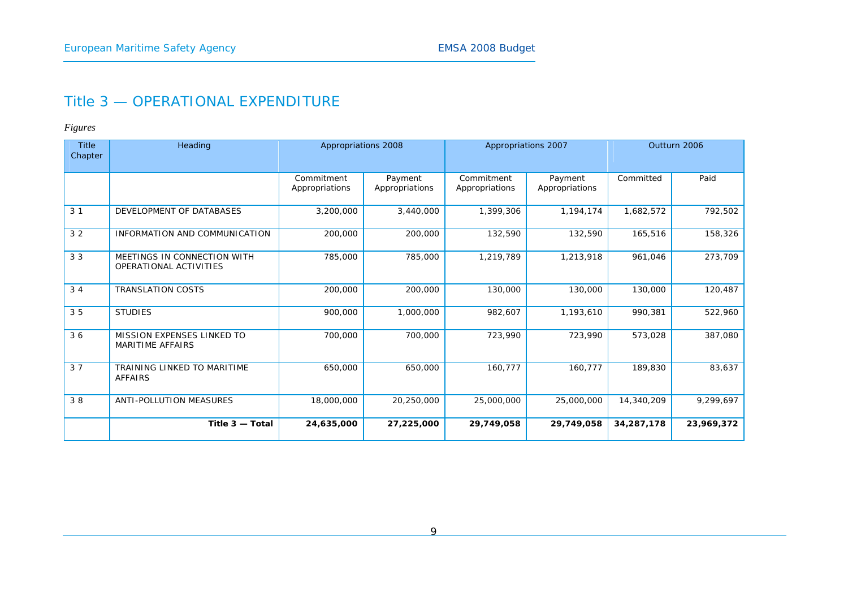## Title 3 — OPERATIONAL EXPENDITURE

| <b>Title</b><br>Chapter | Heading                                               | Appropriations 2008          |                           | Appropriations 2007          |                           | Outturn 2006 |            |
|-------------------------|-------------------------------------------------------|------------------------------|---------------------------|------------------------------|---------------------------|--------------|------------|
|                         |                                                       | Commitment<br>Appropriations | Payment<br>Appropriations | Commitment<br>Appropriations | Payment<br>Appropriations | Committed    | Paid       |
| 3 <sub>1</sub>          | DEVELOPMENT OF DATABASES                              | 3,200,000                    | 3,440,000                 | 1,399,306                    | 1,194,174                 | 1,682,572    | 792,502    |
| 32                      | INFORMATION AND COMMUNICATION                         | 200,000                      | 200,000                   | 132,590                      | 132,590                   | 165,516      | 158,326    |
| 33                      | MEETINGS IN CONNECTION WITH<br>OPERATIONAL ACTIVITIES | 785,000                      | 785,000                   | 1,219,789                    | 1,213,918                 | 961.046      | 273,709    |
| 34                      | <b>TRANSLATION COSTS</b>                              | 200,000                      | 200,000                   | 130,000                      | 130,000                   | 130,000      | 120,487    |
| 35                      | <b>STUDIES</b>                                        | 900,000                      | 1,000,000                 | 982,607                      | 1,193,610                 | 990,381      | 522,960    |
| 36                      | MISSION EXPENSES LINKED TO<br><b>MARITIME AFFAIRS</b> | 700,000                      | 700,000                   | 723,990                      | 723.990                   | 573.028      | 387,080    |
| 37                      | TRAINING LINKED TO MARITIME<br><b>AFFAIRS</b>         | 650,000                      | 650,000                   | 160,777                      | 160,777                   | 189,830      | 83,637     |
| 38                      | ANTI-POLLUTION MEASURES                               | 18,000,000                   | 20,250,000                | 25,000,000                   | 25,000,000                | 14,340,209   | 9,299,697  |
|                         | Title $3 -$ Total                                     | 24,635,000                   | 27,225,000                | 29,749,058                   | 29,749,058                | 34,287,178   | 23,969,372 |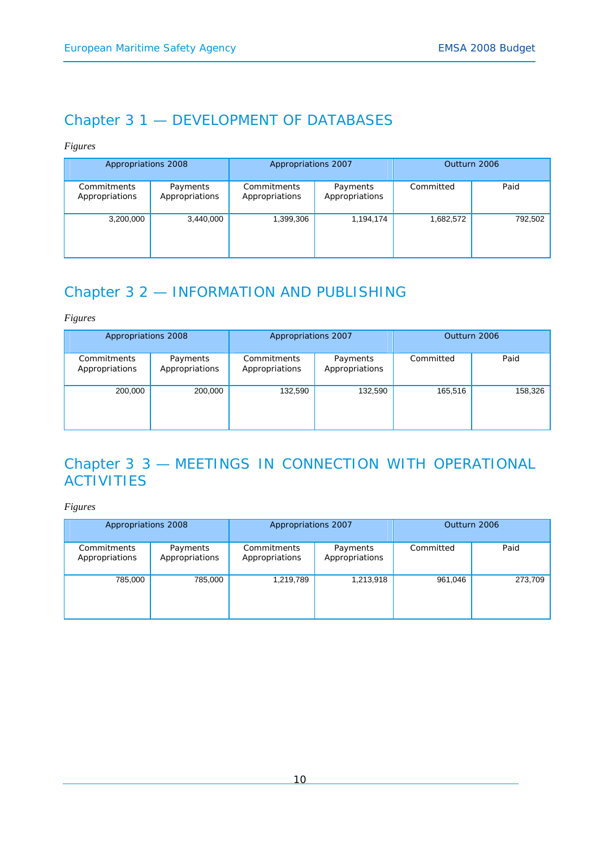## Chapter 3 1 — DEVELOPMENT OF DATABASES

*Figures* 

| Appropriations 2008           |                            | Appropriations 2007           |                            | Outturn 2006 |         |
|-------------------------------|----------------------------|-------------------------------|----------------------------|--------------|---------|
| Commitments<br>Appropriations | Payments<br>Appropriations | Commitments<br>Appropriations | Payments<br>Appropriations | Committed    | Paid    |
| 3,200,000                     | 3,440,000                  | 1,399,306                     | 1,194,174                  | 1,682,572    | 792,502 |

# Chapter 3 2 — INFORMATION AND PUBLISHING

*Figures* 

| Appropriations 2008           |                            | Appropriations 2007           |                            | Outturn 2006 |         |
|-------------------------------|----------------------------|-------------------------------|----------------------------|--------------|---------|
| Commitments<br>Appropriations | Payments<br>Appropriations | Commitments<br>Appropriations | Payments<br>Appropriations | Committed    | Paid    |
| 200,000                       | 200,000                    | 132,590                       | 132,590                    | 165,516      | 158,326 |

# Chapter 3 3 — MEETINGS IN CONNECTION WITH OPERATIONAL **ACTIVITIES**

| Appropriations 2008           |                            | Appropriations 2007           |                            | Outturn 2006 |         |
|-------------------------------|----------------------------|-------------------------------|----------------------------|--------------|---------|
| Commitments<br>Appropriations | Payments<br>Appropriations | Commitments<br>Appropriations | Payments<br>Appropriations | Committed    | Paid    |
| 785,000                       | 785,000                    | 1,219,789                     | 1,213,918                  | 961,046      | 273,709 |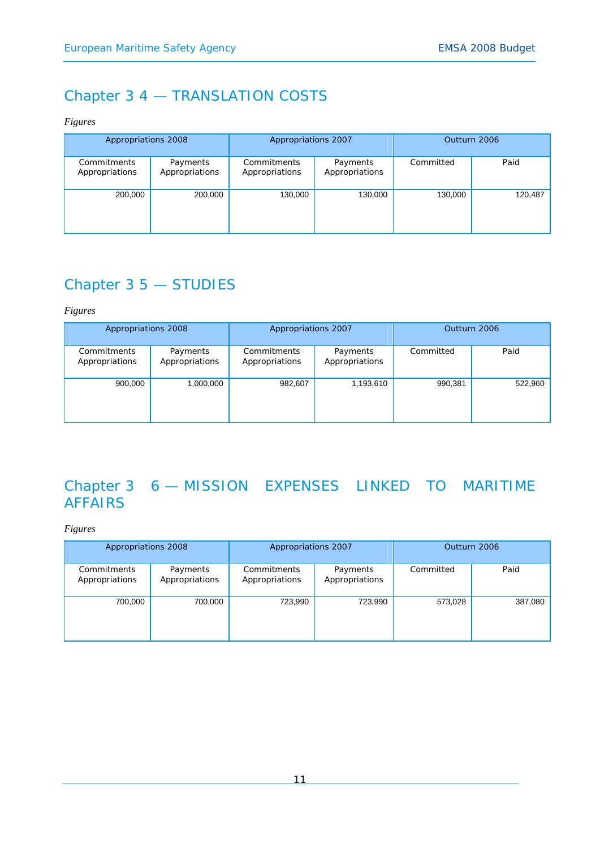# Chapter 3 4 — TRANSLATION COSTS

*Figures* 

| Appropriations 2008           |                            | Appropriations 2007           |                            | Outturn 2006 |         |
|-------------------------------|----------------------------|-------------------------------|----------------------------|--------------|---------|
| Commitments<br>Appropriations | Payments<br>Appropriations | Commitments<br>Appropriations | Payments<br>Appropriations | Committed    | Paid    |
| 200,000                       | 200,000                    | 130,000                       | 130,000                    | 130,000      | 120,487 |

# Chapter 3 5 — STUDIES

*Figures* 

| Appropriations 2008           |                            | Appropriations 2007           |                            | Outturn 2006 |         |
|-------------------------------|----------------------------|-------------------------------|----------------------------|--------------|---------|
| Commitments<br>Appropriations | Payments<br>Appropriations | Commitments<br>Appropriations | Payments<br>Appropriations | Committed    | Paid    |
| 900,000                       | 1,000,000                  | 982,607                       | 1,193,610                  | 990,381      | 522,960 |

# Chapter 3 6 — MISSION EXPENSES LINKED TO MARITIME AFFAIRS

| Appropriations 2008           |                            | Appropriations 2007           |                            | Outturn 2006 |         |
|-------------------------------|----------------------------|-------------------------------|----------------------------|--------------|---------|
| Commitments<br>Appropriations | Payments<br>Appropriations | Commitments<br>Appropriations | Payments<br>Appropriations | Committed    | Paid    |
| 700,000                       | 700,000                    | 723,990                       | 723,990                    | 573,028      | 387,080 |